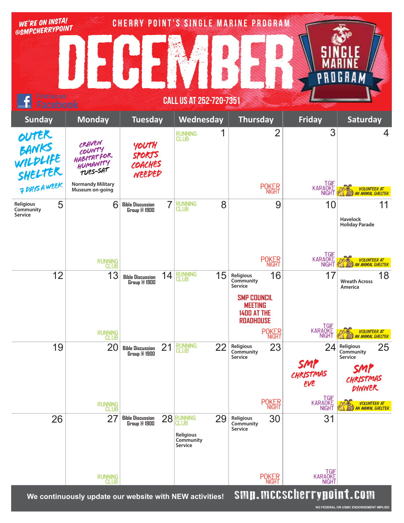| WE'RE ON INSTA!                                      |                                                        |                                                           |                                                                   | CHERRY POINT'S SINGLE MARINE PROGRAM                                                                                      |                                                    |                                                                                     |
|------------------------------------------------------|--------------------------------------------------------|-----------------------------------------------------------|-------------------------------------------------------------------|---------------------------------------------------------------------------------------------------------------------------|----------------------------------------------------|-------------------------------------------------------------------------------------|
| @SMPCHERRYPOINT                                      |                                                        |                                                           | <b>MANA</b><br><b>NAMES</b>                                       | <b>Separate Separate Separate Separate Separate Separate Separate Separate Separate Separate Separate Separate S</b>      |                                                    | G K A                                                                               |
| Find us on<br>CALL US AT 252-720-7351<br>acebook     |                                                        |                                                           |                                                                   |                                                                                                                           |                                                    |                                                                                     |
| <b>Sunday</b>                                        | <b>Monday</b>                                          | <b>Tuesday</b>                                            | Wednesday                                                         | <b>Thursday</b>                                                                                                           | <b>Friday</b>                                      | <b>Saturday</b>                                                                     |
| OUTER<br>BANKS<br>WILDLIFE<br>SHELTER                | CRAVEN<br>COUNTY<br>HABITATFOR<br>HUMANITY<br>TUES-SAT | YOUTH<br><b>SPORTS</b><br>COACHES<br>NEEDED               | 1<br><b>RUNNING</b><br>CLUB                                       | $\overline{2}$                                                                                                            | 3                                                  | 4                                                                                   |
| 7 DAYS A WEEK                                        | <b>Normandy Military</b><br>Museum on-going            |                                                           |                                                                   | <b>POKER</b>                                                                                                              | TGIF<br>KARAQKE<br><b>NIGHT</b>                    | VOLUNTEER AT<br>AN ANIMAL SHELTER                                                   |
| 5<br><b>Religious</b><br>Community<br><b>Service</b> | 6                                                      | $\overline{7}$<br><b>Bible Discussion</b><br>Group @ 1900 | 8<br><b>RUNNING</b><br>CLUB                                       | 9                                                                                                                         | 10                                                 | 11<br><b>Havelock</b><br><b>Holiday Parade</b>                                      |
|                                                      | RUNNING<br>CLUB                                        |                                                           |                                                                   | <b>POKER</b>                                                                                                              | TGIF<br>KARAQKE<br><b>NIGHT</b>                    | VOLUNTEER AT<br>AN ANIMAL SHELTER                                                   |
| 12                                                   | 13                                                     | 14<br><b>Bible Discussion</b><br><b>Group @ 1900</b>      | <b>RUNNING</b><br>CLUB<br>15                                      | 16<br>Religious<br>Community<br>Service<br><b>SMP COUNCIL</b><br><b>MEETING</b><br><b>1400 AT THE</b><br><b>ROADHOUSE</b> | 17                                                 | 18<br><b>Wreath Across</b><br>America                                               |
|                                                      | RUNNING<br>CLUB                                        |                                                           |                                                                   | <b>POKER</b>                                                                                                              | TGIF<br>KARAQKE<br><b>NIGHT</b>                    | <b>VOLUNTEER AT</b><br><b>AN ANIMAL SHELTER</b>                                     |
| 19                                                   | 20                                                     | 21<br><b>Bible Discussion</b><br>Group @ 1900             | <b>RUNNING</b><br>CLUB<br>22                                      | 23<br>Religious<br>Community<br>Service                                                                                   | 24<br>SMP<br>CHRISTMAS<br>EVE                      | 25<br>Religious<br>Community<br><b>Service</b><br>SMP<br>CHRISTMAS<br><b>PINNER</b> |
|                                                      | RUNNING<br>CLUB                                        |                                                           |                                                                   | <b>POKER</b>                                                                                                              | TGIF<br>KARAOKE<br>NIGHT                           | <b>VOLUNTEER AT</b><br><b>AN ANIMAL SHELTER</b>                                     |
| 26                                                   | 27                                                     | 28<br><b>Bible Discussion</b><br>Group @ 1900             | RUNNING<br>CLUB<br>29<br><b>Religious</b><br>Community<br>Service | 30<br>Religious<br>Community<br>Service                                                                                   | 31                                                 |                                                                                     |
|                                                      | RUNNING<br>CLUB                                        |                                                           |                                                                   | <b>POKER</b>                                                                                                              | TGIF<br>KARAOKE<br>NIGHT<br>emn meecharryngint egm |                                                                                     |

We continuously update our website with NEW activities! **SHIH. MILLSCHETTYHUIN L. CUIN** 

**NO FEDERAL OR USMC ENDORSEMENT IMPLIED**